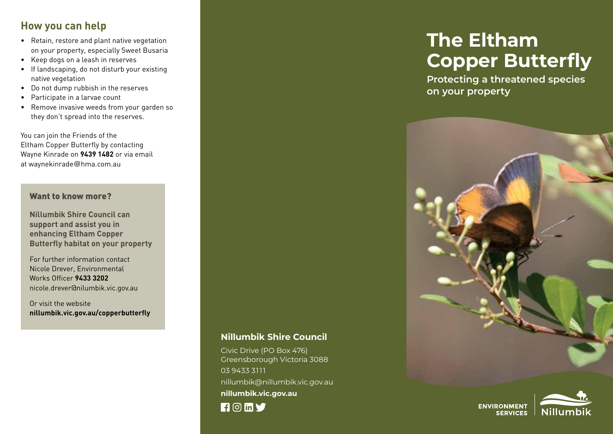#### **How you can help**

- • Retain, restore and plant native vegetation on your property, especially Sweet Busaria
- • Keep dogs on a leash in reserves
- • If landscaping, do not disturb your existing native vegetation
- • Do not dump rubbish in the reserves
- • Participate in a larvae count
- • Remove invasive weeds from your garden so they don't spread into the reserves.

You can join the Friends of the Eltham Copper Butterfly by contacting Wayne Kinrade on **9439 1482** or via email at waynekinrade@hma.com.au

#### Want to know more?

**Nillumbik Shire Council can support and assist you in enhancing Eltham Copper Butterfly habitat on your property**

For further information contact Nicole Drever, Environmental Works Officer **9433 3202** nicole.drever@nilumbik.vic.gov.au

Or visit the website **nillumbik.vic.gov.au/copperbutterfly**

**Nillumbik Shire Council**

nillumbik@nillumbik.vic.gov.au

Civic Drive (PO Box 476) Greensborough Victoria 3088

**nillumbik.vic.gov.au** 

03 9433 3111

 $\blacksquare$   $\blacksquare$   $\blacksquare$   $\blacksquare$ 

# **The Eltham Copper Butterfly**

**Protecting a threatened species on your property**